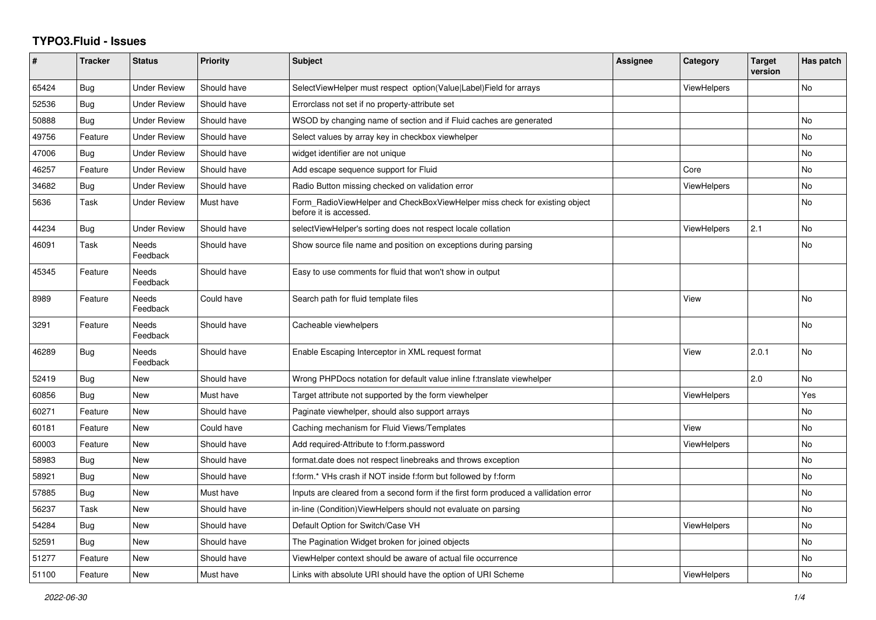## **TYPO3.Fluid - Issues**

| #     | Tracker    | <b>Status</b>            | <b>Priority</b> | <b>Subject</b>                                                                                       | Assignee | Category           | <b>Target</b><br>version | Has patch      |
|-------|------------|--------------------------|-----------------|------------------------------------------------------------------------------------------------------|----------|--------------------|--------------------------|----------------|
| 65424 | <b>Bug</b> | <b>Under Review</b>      | Should have     | SelectViewHelper must respect option(Value Label)Field for arrays                                    |          | <b>ViewHelpers</b> |                          | No             |
| 52536 | Bug        | <b>Under Review</b>      | Should have     | Errorclass not set if no property-attribute set                                                      |          |                    |                          |                |
| 50888 | Bug        | <b>Under Review</b>      | Should have     | WSOD by changing name of section and if Fluid caches are generated                                   |          |                    |                          | No             |
| 49756 | Feature    | <b>Under Review</b>      | Should have     | Select values by array key in checkbox viewhelper                                                    |          |                    |                          | No             |
| 47006 | Bug        | <b>Under Review</b>      | Should have     | widget identifier are not unique                                                                     |          |                    |                          | No             |
| 46257 | Feature    | <b>Under Review</b>      | Should have     | Add escape sequence support for Fluid                                                                |          | Core               |                          | No             |
| 34682 | <b>Bug</b> | <b>Under Review</b>      | Should have     | Radio Button missing checked on validation error                                                     |          | ViewHelpers        |                          | No             |
| 5636  | Task       | <b>Under Review</b>      | Must have       | Form RadioViewHelper and CheckBoxViewHelper miss check for existing object<br>before it is accessed. |          |                    |                          | No             |
| 44234 | Bug        | <b>Under Review</b>      | Should have     | selectViewHelper's sorting does not respect locale collation                                         |          | <b>ViewHelpers</b> | 2.1                      | No             |
| 46091 | Task       | <b>Needs</b><br>Feedback | Should have     | Show source file name and position on exceptions during parsing                                      |          |                    |                          | No             |
| 45345 | Feature    | <b>Needs</b><br>Feedback | Should have     | Easy to use comments for fluid that won't show in output                                             |          |                    |                          |                |
| 8989  | Feature    | Needs<br>Feedback        | Could have      | Search path for fluid template files                                                                 |          | View               |                          | No             |
| 3291  | Feature    | Needs<br>Feedback        | Should have     | Cacheable viewhelpers                                                                                |          |                    |                          | No             |
| 46289 | Bug        | <b>Needs</b><br>Feedback | Should have     | Enable Escaping Interceptor in XML request format                                                    |          | View               | 2.0.1                    | <b>No</b>      |
| 52419 | Bug        | <b>New</b>               | Should have     | Wrong PHPDocs notation for default value inline f:translate viewhelper                               |          |                    | 2.0                      | No             |
| 60856 | Bug        | New                      | Must have       | Target attribute not supported by the form viewhelper                                                |          | <b>ViewHelpers</b> |                          | Yes            |
| 60271 | Feature    | New                      | Should have     | Paginate viewhelper, should also support arrays                                                      |          |                    |                          | N <sub>o</sub> |
| 60181 | Feature    | <b>New</b>               | Could have      | Caching mechanism for Fluid Views/Templates                                                          |          | View               |                          | No             |
| 60003 | Feature    | New                      | Should have     | Add required-Attribute to f:form.password                                                            |          | <b>ViewHelpers</b> |                          | No             |
| 58983 | <b>Bug</b> | New                      | Should have     | format.date does not respect linebreaks and throws exception                                         |          |                    |                          | No             |
| 58921 | Bug        | New                      | Should have     | f:form.* VHs crash if NOT inside f:form but followed by f:form                                       |          |                    |                          | No             |
| 57885 | Bug        | <b>New</b>               | Must have       | Inputs are cleared from a second form if the first form produced a vallidation error                 |          |                    |                          | No             |
| 56237 | Task       | <b>New</b>               | Should have     | in-line (Condition) View Helpers should not evaluate on parsing                                      |          |                    |                          | No             |
| 54284 | Bug        | New                      | Should have     | Default Option for Switch/Case VH                                                                    |          | <b>ViewHelpers</b> |                          | No             |
| 52591 | Bug        | New                      | Should have     | The Pagination Widget broken for joined objects                                                      |          |                    |                          | No             |
| 51277 | Feature    | New                      | Should have     | ViewHelper context should be aware of actual file occurrence                                         |          |                    |                          | No             |
| 51100 | Feature    | New                      | Must have       | Links with absolute URI should have the option of URI Scheme                                         |          | ViewHelpers        |                          | No.            |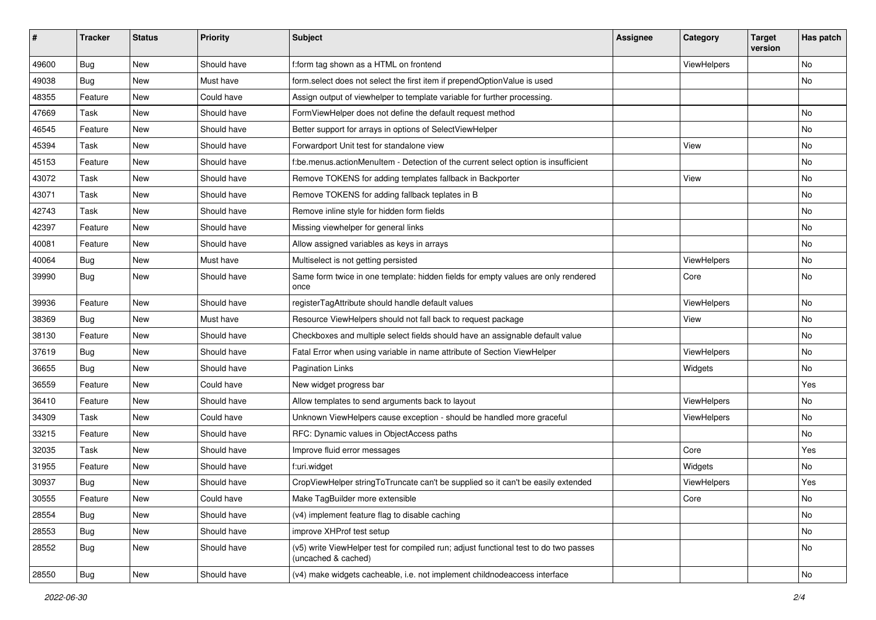| #     | <b>Tracker</b> | <b>Status</b> | <b>Priority</b> | <b>Subject</b>                                                                                              | <b>Assignee</b> | Category    | <b>Target</b><br>version | Has patch |
|-------|----------------|---------------|-----------------|-------------------------------------------------------------------------------------------------------------|-----------------|-------------|--------------------------|-----------|
| 49600 | Bug            | New           | Should have     | f:form tag shown as a HTML on frontend                                                                      |                 | ViewHelpers |                          | <b>No</b> |
| 49038 | Bug            | New           | Must have       | form.select does not select the first item if prependOptionValue is used                                    |                 |             |                          | No        |
| 48355 | Feature        | New           | Could have      | Assign output of viewhelper to template variable for further processing.                                    |                 |             |                          |           |
| 47669 | Task           | <b>New</b>    | Should have     | FormViewHelper does not define the default request method                                                   |                 |             |                          | <b>No</b> |
| 46545 | Feature        | New           | Should have     | Better support for arrays in options of SelectViewHelper                                                    |                 |             |                          | No        |
| 45394 | Task           | <b>New</b>    | Should have     | Forwardport Unit test for standalone view                                                                   |                 | View        |                          | No        |
| 45153 | Feature        | New           | Should have     | f:be.menus.actionMenuItem - Detection of the current select option is insufficient                          |                 |             |                          | No        |
| 43072 | Task           | New           | Should have     | Remove TOKENS for adding templates fallback in Backporter                                                   |                 | View        |                          | No        |
| 43071 | Task           | <b>New</b>    | Should have     | Remove TOKENS for adding fallback teplates in B                                                             |                 |             |                          | No        |
| 42743 | Task           | New           | Should have     | Remove inline style for hidden form fields                                                                  |                 |             |                          | No        |
| 42397 | Feature        | New           | Should have     | Missing viewhelper for general links                                                                        |                 |             |                          | <b>No</b> |
| 40081 | Feature        | New           | Should have     | Allow assigned variables as keys in arrays                                                                  |                 |             |                          | No        |
| 40064 | Bug            | New           | Must have       | Multiselect is not getting persisted                                                                        |                 | ViewHelpers |                          | No        |
| 39990 | Bug            | <b>New</b>    | Should have     | Same form twice in one template: hidden fields for empty values are only rendered<br>once                   |                 | Core        |                          | No        |
| 39936 | Feature        | New           | Should have     | registerTagAttribute should handle default values                                                           |                 | ViewHelpers |                          | No        |
| 38369 | Bug            | New           | Must have       | Resource ViewHelpers should not fall back to request package                                                |                 | View        |                          | No        |
| 38130 | Feature        | New           | Should have     | Checkboxes and multiple select fields should have an assignable default value                               |                 |             |                          | No        |
| 37619 | Bug            | New           | Should have     | Fatal Error when using variable in name attribute of Section ViewHelper                                     |                 | ViewHelpers |                          | <b>No</b> |
| 36655 | Bug            | New           | Should have     | <b>Pagination Links</b>                                                                                     |                 | Widgets     |                          | No        |
| 36559 | Feature        | New           | Could have      | New widget progress bar                                                                                     |                 |             |                          | Yes       |
| 36410 | Feature        | New           | Should have     | Allow templates to send arguments back to layout                                                            |                 | ViewHelpers |                          | <b>No</b> |
| 34309 | Task           | New           | Could have      | Unknown ViewHelpers cause exception - should be handled more graceful                                       |                 | ViewHelpers |                          | No        |
| 33215 | Feature        | <b>New</b>    | Should have     | RFC: Dynamic values in ObjectAccess paths                                                                   |                 |             |                          | No        |
| 32035 | Task           | New           | Should have     | Improve fluid error messages                                                                                |                 | Core        |                          | Yes       |
| 31955 | Feature        | New           | Should have     | f:uri.widget                                                                                                |                 | Widgets     |                          | No        |
| 30937 | Bug            | New           | Should have     | CropViewHelper stringToTruncate can't be supplied so it can't be easily extended                            |                 | ViewHelpers |                          | Yes       |
| 30555 | Feature        | New           | Could have      | Make TagBuilder more extensible                                                                             |                 | Core        |                          | No        |
| 28554 | Bug            | New           | Should have     | (v4) implement feature flag to disable caching                                                              |                 |             |                          | No        |
| 28553 | <b>Bug</b>     | New           | Should have     | improve XHProf test setup                                                                                   |                 |             |                          | No        |
| 28552 | Bug            | New           | Should have     | (v5) write ViewHelper test for compiled run; adjust functional test to do two passes<br>(uncached & cached) |                 |             |                          | No        |
| 28550 | <b>Bug</b>     | New           | Should have     | (v4) make widgets cacheable, i.e. not implement childnodeaccess interface                                   |                 |             |                          | No        |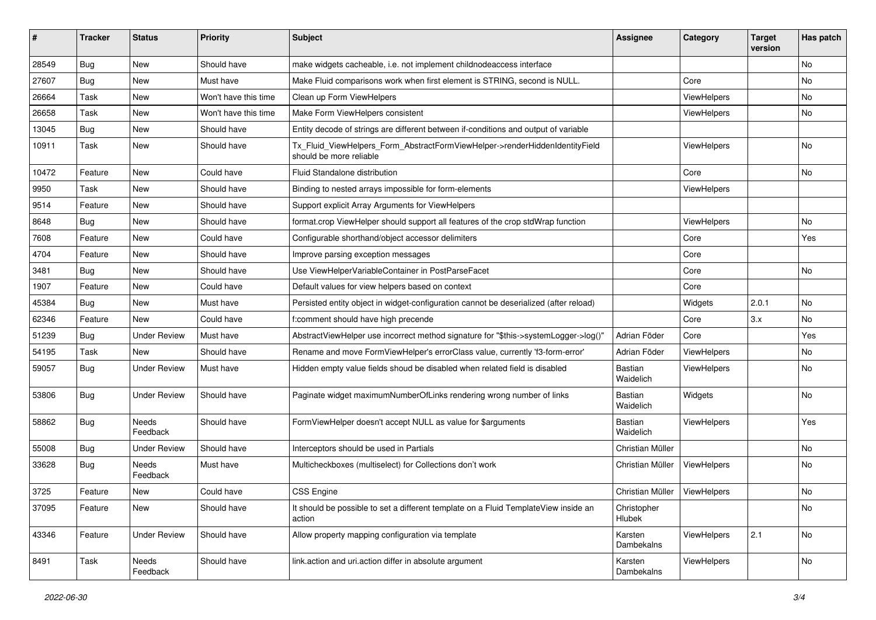| #     | <b>Tracker</b> | <b>Status</b>       | <b>Priority</b>      | Subject                                                                                                | <b>Assignee</b>             | Category           | <b>Target</b><br>version | Has patch |
|-------|----------------|---------------------|----------------------|--------------------------------------------------------------------------------------------------------|-----------------------------|--------------------|--------------------------|-----------|
| 28549 | <b>Bug</b>     | New                 | Should have          | make widgets cacheable, i.e. not implement childnodeaccess interface                                   |                             |                    |                          | <b>No</b> |
| 27607 | Bug            | New                 | Must have            | Make Fluid comparisons work when first element is STRING, second is NULL.                              |                             | Core               |                          | No        |
| 26664 | Task           | New                 | Won't have this time | Clean up Form ViewHelpers                                                                              |                             | ViewHelpers        |                          | No        |
| 26658 | Task           | New                 | Won't have this time | Make Form ViewHelpers consistent                                                                       |                             | ViewHelpers        |                          | <b>No</b> |
| 13045 | Bug            | New                 | Should have          | Entity decode of strings are different between if-conditions and output of variable                    |                             |                    |                          |           |
| 10911 | Task           | New                 | Should have          | Tx_Fluid_ViewHelpers_Form_AbstractFormViewHelper->renderHiddenIdentityField<br>should be more reliable |                             | <b>ViewHelpers</b> |                          | No        |
| 10472 | Feature        | New                 | Could have           | <b>Fluid Standalone distribution</b>                                                                   |                             | Core               |                          | No        |
| 9950  | Task           | New                 | Should have          | Binding to nested arrays impossible for form-elements                                                  |                             | ViewHelpers        |                          |           |
| 9514  | Feature        | New                 | Should have          | Support explicit Array Arguments for ViewHelpers                                                       |                             |                    |                          |           |
| 8648  | Bug            | New                 | Should have          | format.crop ViewHelper should support all features of the crop stdWrap function                        |                             | ViewHelpers        |                          | No        |
| 7608  | Feature        | New                 | Could have           | Configurable shorthand/object accessor delimiters                                                      |                             | Core               |                          | Yes       |
| 4704  | Feature        | New                 | Should have          | Improve parsing exception messages                                                                     |                             | Core               |                          |           |
| 3481  | <b>Bug</b>     | New                 | Should have          | Use ViewHelperVariableContainer in PostParseFacet                                                      |                             | Core               |                          | No        |
| 1907  | Feature        | New                 | Could have           | Default values for view helpers based on context                                                       |                             | Core               |                          |           |
| 45384 | Bug            | New                 | Must have            | Persisted entity object in widget-configuration cannot be deserialized (after reload)                  |                             | Widgets            | 2.0.1                    | No        |
| 62346 | Feature        | <b>New</b>          | Could have           | f:comment should have high precende                                                                    |                             | Core               | 3.x                      | <b>No</b> |
| 51239 | Bug            | <b>Under Review</b> | Must have            | AbstractViewHelper use incorrect method signature for "\$this->systemLogger->log()"                    | Adrian Föder                | Core               |                          | Yes       |
| 54195 | Task           | New                 | Should have          | Rename and move FormViewHelper's errorClass value, currently 'f3-form-error'                           | Adrian Föder                | ViewHelpers        |                          | No        |
| 59057 | Bug            | Under Review        | Must have            | Hidden empty value fields shoud be disabled when related field is disabled                             | <b>Bastian</b><br>Waidelich | <b>ViewHelpers</b> |                          | No        |
| 53806 | Bug            | Under Review        | Should have          | Paginate widget maximumNumberOfLinks rendering wrong number of links                                   | <b>Bastian</b><br>Waidelich | Widgets            |                          | No        |
| 58862 | Bug            | Needs<br>Feedback   | Should have          | FormViewHelper doesn't accept NULL as value for \$arguments                                            | Bastian<br>Waidelich        | ViewHelpers        |                          | Yes       |
| 55008 | <b>Bug</b>     | Under Review        | Should have          | Interceptors should be used in Partials                                                                | Christian Müller            |                    |                          | No        |
| 33628 | Bug            | Needs<br>Feedback   | Must have            | Multicheckboxes (multiselect) for Collections don't work                                               | Christian Müller            | ViewHelpers        |                          | No        |
| 3725  | Feature        | New                 | Could have           | <b>CSS Engine</b>                                                                                      | Christian Müller            | ViewHelpers        |                          | No        |
| 37095 | Feature        | New                 | Should have          | It should be possible to set a different template on a Fluid TemplateView inside an<br>action          | Christopher<br>Hlubek       |                    |                          | No        |
| 43346 | Feature        | <b>Under Review</b> | Should have          | Allow property mapping configuration via template                                                      | Karsten<br>Dambekalns       | ViewHelpers        | 2.1                      | No        |
| 8491  | Task           | Needs<br>Feedback   | Should have          | link.action and uri.action differ in absolute argument                                                 | Karsten<br>Dambekalns       | <b>ViewHelpers</b> |                          | No        |